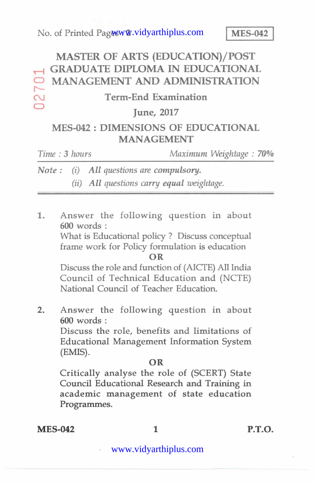# **MASTER OF ARTS (EDUCATION)/ POST GRADUATE DIPLOMA IN EDUCATIONAL MANAGEMENT AND ADMINISTRATION** 0270

#### **Term-End Examination**

#### **CD June, 2017**

## **MES-042 : DIMENSIONS OF EDUCATIONAL MANAGEMENT**

| Time: 3 hours | Maximum Weightage: 70% |  |  |
|---------------|------------------------|--|--|
|               |                        |  |  |

*Note :(i)All questions arecompulsory. (ii)All questions carryequalweightage.* 

1. Answer the following question in about **600** words :

What is Educational policy ? Discuss conceptual frame work for Policy formulation is education

**OR** 

Discuss the role and function of (AICTE) All India Council of Technical Education and(NCTE) National Council of Teacher Education.

2. Answer the following question in about **600** words :

Discuss the role, benefits and limitations of Educational Management Information System (EMIS).

#### **OR**

Critically analyse the role of (SCERT) State Council Educational Research and Training in academic management of state education Programmes.

**MES-042** 1 P.T.O.